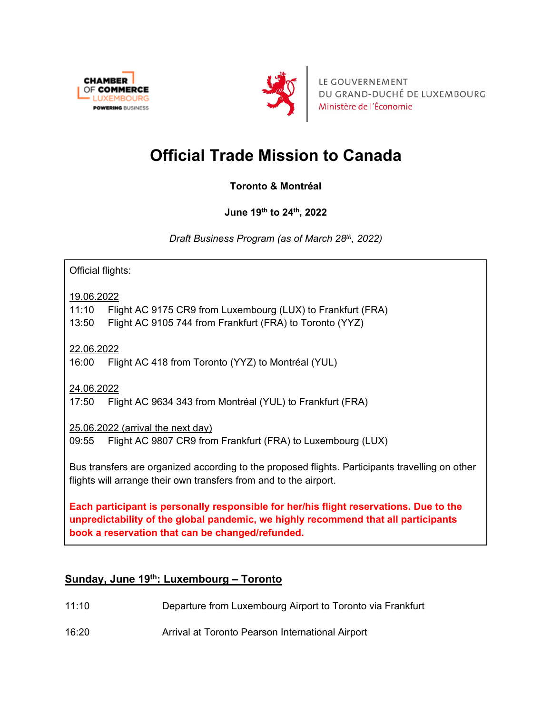



LE GOUVERNEMENT DU GRAND-DUCHÉ DE LUXEMBOURG Ministère de l'Économie

# **Official Trade Mission to Canada**

**Toronto & Montréal**

**June 19th to 24th, 2022** 

*Draft Business Program (as of March 28th, 2022)*

Official flights:

19.06.2022

11:10 Flight AC 9175 CR9 from Luxembourg (LUX) to Frankfurt (FRA)

13:50 Flight AC 9105 744 from Frankfurt (FRA) to Toronto (YYZ)

22.06.2022

16:00 Flight AC 418 from Toronto (YYZ) to Montréal (YUL)

24.06.2022

17:50 Flight AC 9634 343 from Montréal (YUL) to Frankfurt (FRA)

25.06.2022 (arrival the next day)

09:55 Flight AC 9807 CR9 from Frankfurt (FRA) to Luxembourg (LUX)

Bus transfers are organized according to the proposed flights. Participants travelling on other flights will arrange their own transfers from and to the airport.

**Each participant is personally responsible for her/his flight reservations. Due to the unpredictability of the global pandemic, we highly recommend that all participants book a reservation that can be changed/refunded.**

### **Sunday, June 19th: Luxembourg – Toronto**

- 11:10 Departure from Luxembourg Airport to Toronto via Frankfurt
- 16:20 Arrival at Toronto Pearson International Airport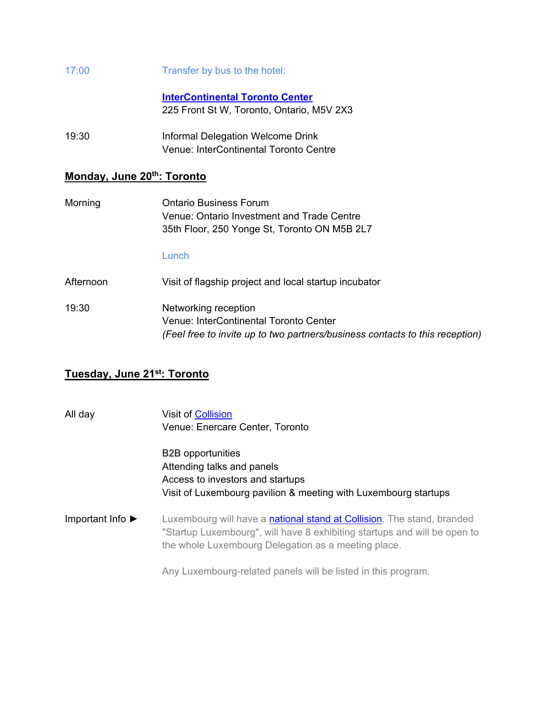| 17:00 | Transfer by bus to the hotel: |  |
|-------|-------------------------------|--|
|       |                               |  |

**[InterContinental Toronto Center](https://www.torontocentre.intercontinental.com/)** 225 Front St W, Toronto, Ontario, M5V 2X3

19:30 Informal Delegation Welcome Drink Venue: InterContinental Toronto Centre

#### **Monday, June 20th: Toronto**

| Morning   | Ontario Business Forum<br>Venue: Ontario Investment and Trade Centre<br>35th Floor, 250 Yonge St, Toronto ON M5B 2L7                           |
|-----------|------------------------------------------------------------------------------------------------------------------------------------------------|
| Afternoon | Lunch<br>Visit of flagship project and local startup incubator                                                                                 |
| 19:30     | Networking reception<br>Venue: InterContinental Toronto Center<br>(Feel free to invite up to two partners/business contacts to this reception) |

#### **Tuesday, June 21st: Toronto**

| All day                              | <b>Visit of Collision</b><br>Venue: Enercare Center, Toronto                                                                                                                                               |
|--------------------------------------|------------------------------------------------------------------------------------------------------------------------------------------------------------------------------------------------------------|
|                                      | <b>B2B</b> opportunities<br>Attending talks and panels<br>Access to investors and startups<br>Visit of Luxembourg pavilion & meeting with Luxembourg startups                                              |
| Important Info $\blacktriangleright$ | Luxembourg will have a national stand at Collision. The stand, branded<br>"Startup Luxembourg", will have 8 exhibiting startups and will be open to<br>the whole Luxembourg Delegation as a meeting place. |
|                                      | Any Luxembourg-related panels will be listed in this program.                                                                                                                                              |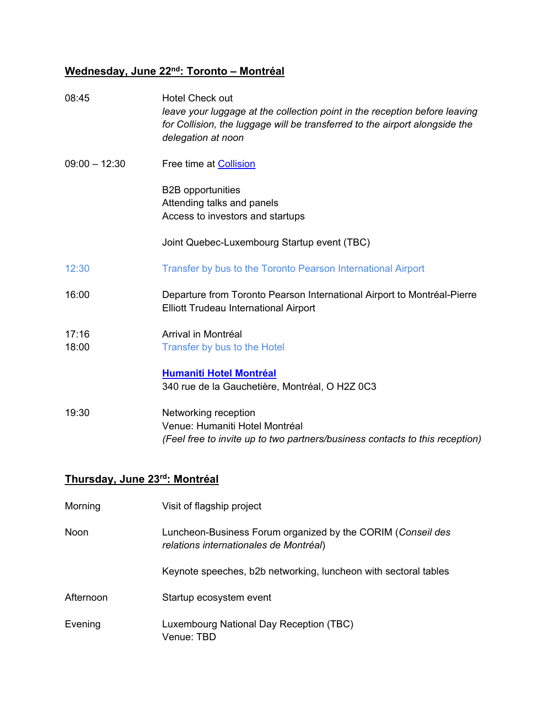# **Wednesday, June 22nd: Toronto – Montréal**

| 08:45           | <b>Hotel Check out</b><br>leave your luggage at the collection point in the reception before leaving<br>for Collision, the luggage will be transferred to the airport alongside the<br>delegation at noon |
|-----------------|-----------------------------------------------------------------------------------------------------------------------------------------------------------------------------------------------------------|
| $09:00 - 12:30$ | Free time at Collision                                                                                                                                                                                    |
|                 | <b>B2B</b> opportunities<br>Attending talks and panels<br>Access to investors and startups                                                                                                                |
|                 | Joint Quebec-Luxembourg Startup event (TBC)                                                                                                                                                               |
| 12:30           | Transfer by bus to the Toronto Pearson International Airport                                                                                                                                              |
| 16:00           | Departure from Toronto Pearson International Airport to Montréal-Pierre<br><b>Elliott Trudeau International Airport</b>                                                                                   |
| 17:16<br>18:00  | Arrival in Montréal<br>Transfer by bus to the Hotel                                                                                                                                                       |
|                 | <b>Humaniti Hotel Montréal</b><br>340 rue de la Gauchetière, Montréal, O H2Z 0C3                                                                                                                          |
| 19:30           | Networking reception<br>Venue: Humaniti Hotel Montréal<br>(Feel free to invite up to two partners/business contacts to this reception)                                                                    |

# **Thursday, June 23rd: Montréal**

| Morning   | Visit of flagship project                                                                             |
|-----------|-------------------------------------------------------------------------------------------------------|
| Noon      | Luncheon-Business Forum organized by the CORIM (Conseil des<br>relations internationales de Montréal) |
|           | Keynote speeches, b2b networking, luncheon with sectoral tables                                       |
| Afternoon | Startup ecosystem event                                                                               |
| Evening   | Luxembourg National Day Reception (TBC)<br>Venue: TBD                                                 |